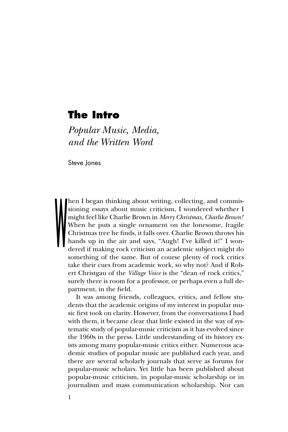# **The Intro**

*Popular Music, Media, and the Written Word*

Steve Jones

hen I began thinking about writing, collecting, and commissioning essays about music criticism, I wondered whether I might feel like Charlie Brown in *Merry Christmas, Charlie Brown!* When he puts a single ornament on the lonesome, fragile Christmas tree he finds, it falls over. Charlie Brown throws his hands up in the air and says, "Augh! I've killed it!" I wondered if making rock criticism an academic subject might do something of the same. But of course plenty of rock critics take their cues from academic work, so why not? And if Robert Christgau of the *Village Voice* is the "dean of rock critics," surely there is room for a professor, or perhaps even a full department, in the field. W

It was among friends, colleagues, critics, and fellow students that the academic origins of my interest in popular music first took on clarity. However, from the conversations I had with them, it became clear that little existed in the way of systematic study of popular-music criticism as it has evolved since the 1960s in the press. Little understanding of its history exists among many popular-music critics either. Numerous academic studies of popular music are published each year, and there are several scholarly journals that serve as forums for popular-music scholars. Yet little has been published about popular-music criticism, in popular-music scholarship or in journalism and mass communication scholarship. Nor can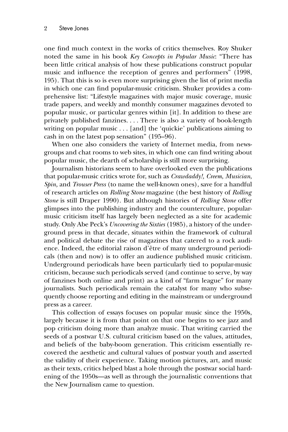one find much context in the works of critics themselves. Roy Shuker noted the same in his book *Key Concepts in Popular Music*: "There has been little critical analysis of how these publications construct popular music and influence the reception of genres and performers" (1998, 195). That this is so is even more surprising given the list of print media in which one can find popular-music criticism. Shuker provides a comprehensive list: "Lifestyle magazines with major music coverage, music trade papers, and weekly and monthly consumer magazines devoted to popular music, or particular genres within [it]. In addition to these are privately published fanzines. . . . There is also a variety of book-length writing on popular music . . . [and] the 'quickie' publications aiming to cash in on the latest pop sensation" (195–96).

When one also considers the variety of Internet media, from newsgroups and chat rooms to web sites, in which one can find writing about popular music, the dearth of scholarship is still more surprising.

Journalism historians seem to have overlooked even the publications that popular-music critics wrote for, such as *Crawdaddy!, Creem*, *Musician*, *Spin,* and *Trouser Press* (to name the well-known ones), save for a handful of research articles on *Rolling Stone* magazine (the best history of *Rolling Stone* is still Draper 1990). But although histories of *Rolling Stone* offer glimpses into the publishing industry and the counterculture, popularmusic criticism itself has largely been neglected as a site for academic study. Only Abe Peck's *Uncovering the Sixties* (1985), a history of the underground press in that decade, situates within the framework of cultural and political debate the rise of magazines that catered to a rock audience. Indeed, the editorial raison d'être of many underground periodicals (then and now) is to offer an audience published music criticism. Underground periodicals have been particularly tied to popular-music criticism, because such periodicals served (and continue to serve, by way of fanzines both online and print) as a kind of "farm league" for many journalists. Such periodicals remain the catalyst for many who subsequently choose reporting and editing in the mainstream or underground press as a career.

This collection of essays focuses on popular music since the 1950s, largely because it is from that point on that one begins to see jazz and pop criticism doing more than analyze music. That writing carried the seeds of a postwar U.S. cultural criticism based on the values, attitudes, and beliefs of the baby-boom generation. This criticism essentially recovered the aesthetic and cultural values of postwar youth and asserted the validity of their experience. Taking motion pictures, art, and music as their texts, critics helped blast a hole through the postwar social hardening of the 1950s—as well as through the journalistic conventions that the New Journalism came to question.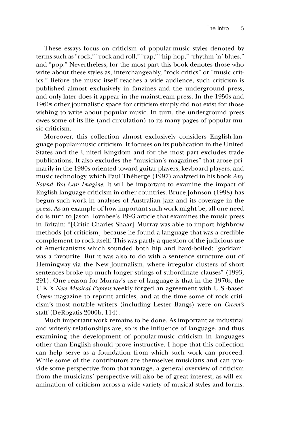These essays focus on criticism of popular-music styles denoted by terms such as "rock," "rock and roll," "rap," "hip-hop," "rhythm 'n' blues," and "pop." Nevertheless, for the most part this book denotes those who write about these styles as, interchangeably, "rock critics" or "music critics." Before the music itself reaches a wide audience, such criticism is published almost exclusively in fanzines and the underground press, and only later does it appear in the mainstream press. In the 1950s and 1960s other journalistic space for criticism simply did not exist for those wishing to write about popular music. In turn, the underground press owes some of its life (and circulation) to its many pages of popular-music criticism.

Moreover, this collection almost exclusively considers English-language popular-music criticism. It focuses on its publication in the United States and the United Kingdom and for the most part excludes trade publications. It also excludes the "musician's magazines" that arose primarily in the 1980s oriented toward guitar players, keyboard players, and music technology, which Paul Théberge (1997) analyzed in his book *Any Sound You Can Imagine*. It will be important to examine the impact of English-language criticism in other countries. Bruce Johnson (1998) has begun such work in analyses of Australian jazz and its coverage in the press. As an example of how important such work might be, all one need do is turn to Jason Toynbee's 1993 article that examines the music press in Britain: "[Critic Charles Shaar] Murray was able to import highbrow methods [of criticism] because he found a language that was a credible complement to rock itself. This was partly a question of the judicious use of Americanisms which sounded both hip and hard-boiled; 'goddam' was a favourite. But it was also to do with a sentence structure out of Hemingway via the New Journalism, where irregular clusters of short sentences broke up much longer strings of subordinate clauses" (1993, 291). One reason for Murray's use of language is that in the 1970s, the U.K.'s *New Musical Express* weekly forged an agreement with U.S.-based *Creem* magazine to reprint articles, and at the time some of rock criticism's most notable writers (including Lester Bangs) were on *Creem's* staff (DeRogatis 2000b, 114).

Much important work remains to be done. As important as industrial and writerly relationships are, so is the influence of language, and thus examining the development of popular-music criticism in languages other than English should prove instructive. I hope that this collection can help serve as a foundation from which such work can proceed. While some of the contributors are themselves musicians and can provide some perspective from that vantage, a general overview of criticism from the musicians' perspective will also be of great interest, as will examination of criticism across a wide variety of musical styles and forms.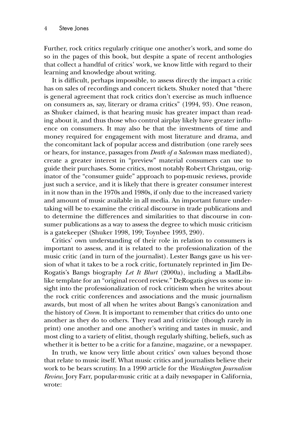Further, rock critics regularly critique one another's work, and some do so in the pages of this book, but despite a spate of recent anthologies that collect a handful of critics' work, we know little with regard to their learning and knowledge about writing.

It is difficult, perhaps impossible, to assess directly the impact a critic has on sales of recordings and concert tickets. Shuker noted that "there is general agreement that rock critics don't exercise as much influence on consumers as, say, literary or drama critics" (1994, 93). One reason, as Shuker claimed, is that hearing music has greater impact than reading about it, and thus those who control airplay likely have greater influence on consumers. It may also be that the investments of time and money required for engagement with most literature and drama, and the concomitant lack of popular access and distribution (one rarely sees or hears, for instance, passages from *Death of a Salesman* mass mediated), create a greater interest in "preview" material consumers can use to guide their purchases. Some critics, most notably Robert Christgau, originator of the "consumer guide" approach to pop-music reviews, provide just such a service, and it is likely that there is greater consumer interest in it now than in the 1970s and 1980s, if only due to the increased variety and amount of music available in all media. An important future undertaking will be to examine the critical discourse in trade publications and to determine the differences and similarities to that discourse in consumer publications as a way to assess the degree to which music criticism is a gatekeeper (Shuker 1998, 199; Toynbee 1993, 290).

Critics' own understanding of their role in relation to consumers is important to assess, and it is related to the professionalization of the music critic (and in turn of the journalist). Lester Bangs gave us his version of what it takes to be a rock critic, fortunately reprinted in Jim De-Rogatis's Bangs biography *Let It Blurt* (2000a), including a MadLibslike template for an "original record review." DeRogatis gives us some insight into the professionalization of rock criticism when he writes about the rock critic conferences and associations and the music journalism awards, but most of all when he writes about Bangs's canonization and the history of *Creem.* It is important to remember that critics do unto one another as they do to others. They read and criticize (though rarely in print) one another and one another's writing and tastes in music, and most cling to a variety of elitist, though regularly shifting, beliefs, such as whether it is better to be a critic for a fanzine, magazine, or a newspaper.

In truth, we know very little about critics' own values beyond those that relate to music itself. What music critics and journalists believe their work to be bears scrutiny. In a 1990 article for the *Washington Journalism Review*, Jory Farr, popular-music critic at a daily newspaper in California, wrote: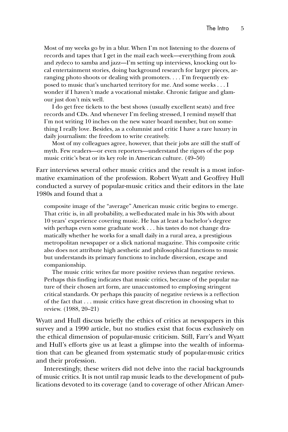Most of my weeks go by in a blur. When I'm not listening to the dozens of records and tapes that I get in the mail each week—everything from zouk and zydeco to samba and jazz—I'm setting up interviews, knocking out local entertainment stories, doing background research for larger pieces, arranging photo shoots or dealing with promoters. . . . I'm frequently exposed to music that's uncharted territory for me. And some weeks ...I wonder if I haven't made a vocational mistake. Chronic fatigue and glamour just don't mix well.

I do get free tickets to the best shows (usually excellent seats) and free records and CDs. And whenever I'm feeling stressed, I remind myself that I'm not writing 10 inches on the new water board member, but on something I really love. Besides, as a columnist and critic I have a rare luxury in daily journalism: the freedom to write creatively.

Most of my colleagues agree, however, that their jobs are still the stuff of myth. Few readers—or even reporters—understand the rigors of the pop music critic's beat or its key role in American culture. (49–50)

Farr interviews several other music critics and the result is a most informative examination of the profession. Robert Wyatt and Geoffrey Hull conducted a survey of popular-music critics and their editors in the late 1980s and found that a

composite image of the "average" American music critic begins to emerge. That critic is, in all probability, a well-educated male in his 30s with about 10 years' experience covering music. He has at least a bachelor's degree with perhaps even some graduate work . . . his tastes do not change dramatically whether he works for a small daily in a rural area, a prestigious metropolitan newspaper or a slick national magazine. This composite critic also does not attribute high aesthetic and philosophical functions to music but understands its primary functions to include diversion, escape and companionship.

The music critic writes far more positive reviews than negative reviews. Perhaps this finding indicates that music critics, because of the popular nature of their chosen art form, are unaccustomed to employing stringent critical standards. Or perhaps this paucity of negative reviews is a reflection of the fact that . . . music critics have great discretion in choosing what to review. (1988, 20–21)

Wyatt and Hull discuss briefly the ethics of critics at newspapers in this survey and a 1990 article, but no studies exist that focus exclusively on the ethical dimension of popular-music criticism. Still, Farr's and Wyatt and Hull's efforts give us at least a glimpse into the wealth of information that can be gleaned from systematic study of popular-music critics and their profession.

Interestingly, these writers did not delve into the racial backgrounds of music critics. It is not until rap music leads to the development of publications devoted to its coverage (and to coverage of other African Amer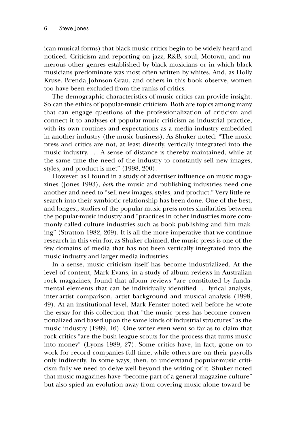ican musical forms) that black music critics begin to be widely heard and noticed. Criticism and reporting on jazz, R&B, soul, Motown, and numerous other genres established by black musicians or in which black musicians predominate was most often written by whites. And, as Holly Kruse, Brenda Johnson-Grau, and others in this book observe, women too have been excluded from the ranks of critics.

The demographic characteristics of music critics can provide insight. So can the ethics of popular-music criticism. Both are topics among many that can engage questions of the professionalization of criticism and connect it to analyses of popular-music criticism as industrial practice, with its own routines and expectations as a media industry embedded in another industry (the music business). As Shuker noted: "The music press and critics are not, at least directly, vertically integrated into the music industry. . . . A sense of distance is thereby maintained, while at the same time the need of the industry to constantly sell new images, styles, and product is met" (1998, 200).

However, as I found in a study of advertiser influence on music magazines (Jones 1993), *both* the music and publishing industries need one another and need to "sell new images, styles, and product." Very little research into their symbiotic relationship has been done. One of the best, and longest, studies of the popular-music press notes similarities between the popular-music industry and "practices in other industries more commonly called culture industries such as book publishing and film making" (Stratton 1982, 269). It is all the more imperative that we continue research in this vein for, as Shuker claimed, the music press is one of the few domains of media that has not been vertically integrated into the music industry and larger media industries.

In a sense, music criticism itself has become industrialized. At the level of content, Mark Evans, in a study of album reviews in Australian rock magazines, found that album reviews "are constituted by fundamental elements that can be individually identified . . . lyrical analysis, inter-artist comparison, artist background and musical analysis (1998, 49). At an institutional level, Mark Fenster noted well before he wrote the essay for this collection that "the music press has become conventionalized and based upon the same kinds of industrial structures" as the music industry (1989, 16). One writer even went so far as to claim that rock critics "are the bush league scouts for the process that turns music into money" (Lyons 1989, 27). Some critics have, in fact, gone on to work for record companies full-time, while others are on their payrolls only indirectly. In some ways, then, to understand popular-music criticism fully we need to delve well beyond the writing of it. Shuker noted that music magazines have "become part of a general magazine culture" but also spied an evolution away from covering music alone toward be-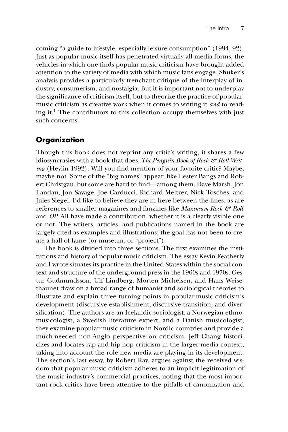coming "a guide to lifestyle, especially leisure consumption" (1994, 92). Just as popular music itself has penetrated virtually all media forms, the vehicles in which one finds popular-music criticism have brought added attention to the variety of media with which music fans engage. Shuker's analysis provides a particularly trenchant critique of the interplay of industry, consumerism, and nostalgia. But it is important not to underplay the significance of criticism itself, but to theorize the practice of popularmusic criticism as creative work when it comes to writing it *and* to reading it.<sup>1</sup> The contributors to this collection occupy themselves with just such concerns.

## **Organization**

Though this book does not reprint any critic's writing, it shares a few idiosyncrasies with a book that does, *The Penguin Book of Rock & Roll Writing* (Heylin 1992). Will you find mention of your favorite critic? Maybe, maybe not. Some of the "big names" appear, like Lester Bangs and Robert Christgau, but some are hard to find—among them, Dave Marsh, Jon Landau, Jon Savage, Joe Carducci, Richard Meltzer, Nick Tosches, and Jules Siegel. I'd like to believe they are in here between the lines, as are references to smaller magazines and fanzines like *Maximum Rock & Roll* and *OP.* All have made a contribution, whether it is a clearly visible one or not. The writers, articles, and publications named in the book are largely cited as examples and illustrations; the goal has not been to create a hall of fame (or museum, or "project").

The book is divided into three sections. The first examines the institutions and history of popular-music criticism. The essay Kevin Featherly and I wrote situates its practice in the United States within the social context and structure of the underground press in the 1960s and 1970s. Gestur Gudmundsson, Ulf Lindberg, Morten Michelsen, and Hans Weisethaunet draw on a broad range of humanist and sociological theories to illustrate and explain three turning points in popular-music criticism's development (discursive establishment, discursive transition, and diversification). The authors are an Icelandic sociologist, a Norwegian ethnomusicologist, a Swedish literature expert, and a Danish musicologist; they examine popular-music criticism in Nordic countries and provide a much-needed non-Anglo perspective on criticism. Jeff Chang historicizes and locates rap and hip-hop criticism in the larger media context, taking into account the role new media are playing in its development. The section's last essay, by Robert Ray, argues against the received wisdom that popular-music criticism adheres to an implicit legitimation of the music industry's commercial practices, noting that the most important rock critics have been attentive to the pitfalls of canonization and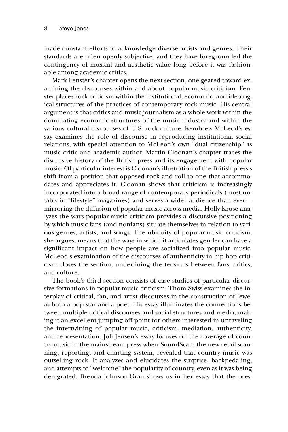made constant efforts to acknowledge diverse artists and genres. Their standards are often openly subjective, and they have foregrounded the contingency of musical and aesthetic value long before it was fashionable among academic critics.

Mark Fenster's chapter opens the next section, one geared toward examining the discourses within and about popular-music criticism. Fenster places rock criticism within the institutional, economic, and ideological structures of the practices of contemporary rock music. His central argument is that critics and music journalism as a whole work within the dominating economic structures of the music industry and within the various cultural discourses of U.S. rock culture. Kembrew McLeod's essay examines the role of discourse in reproducing institutional social relations, with special attention to McLeod's own "dual citizenship" as music critic and academic author. Martin Cloonan's chapter traces the discursive history of the British press and its engagement with popular music. Of particular interest is Cloonan's illustration of the British press's shift from a position that opposed rock and roll to one that accommodates and appreciates it. Cloonan shows that criticism is increasingly incorporated into a broad range of contemporary periodicals (most notably in "lifestyle" magazines) and serves a wider audience than ever mirroring the diffusion of popular music across media. Holly Kruse analyzes the ways popular-music criticism provides a discursive positioning by which music fans (and nonfans) situate themselves in relation to various genres, artists, and songs. The ubiquity of popular-music criticism, she argues, means that the ways in which it articulates gender can have a significant impact on how people are socialized into popular music. McLeod's examination of the discourses of authenticity in hip-hop criticism closes the section, underlining the tensions between fans, critics, and culture.

The book's third section consists of case studies of particular discursive formations in popular-music criticism. Thom Swiss examines the interplay of critical, fan, and artist discourses in the construction of Jewel as both a pop star and a poet. His essay illuminates the connections between multiple critical discourses and social structures and media, making it an excellent jumping-off point for others interested in unraveling the intertwining of popular music, criticism, mediation, authenticity, and representation. Joli Jensen's essay focuses on the coverage of country music in the mainstream press when SoundScan, the new retail scanning, reporting, and charting system, revealed that country music was outselling rock. It analyzes and elucidates the surprise, backpedaling, and attempts to "welcome" the popularity of country, even as it was being denigrated. Brenda Johnson-Grau shows us in her essay that the pres-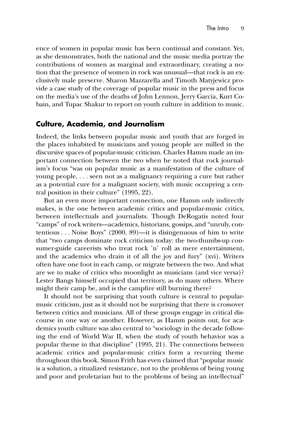ence of women in popular music has been continual and constant. Yet, as she demonstrates, both the national and the music media portray the contributions of women as marginal and extraordinary, creating a notion that the presence of women in rock was unusual—that rock is an exclusively male preserve. Sharon Mazzarella and Timoth Matyjewicz provide a case study of the coverage of popular music in the press and focus on the media's use of the deaths of John Lennon, Jerry Garcia, Kurt Cobain, and Tupac Shakur to report on youth culture in addition to music.

#### **Culture, Academia, and Journalism**

Indeed, the links between popular music and youth that are forged in the places inhabited by musicians and young people are milled in the discursive spaces of popular-music criticism. Charles Hamm made an important connection between the two when he noted that rock journalism's focus "was on popular music as a manifestation of the culture of young people, . . . seen not as a malignancy requiring a cure but rather as a potential cure for a malignant society, with music occupying a central position in their culture" (1995, 22).

But an even more important connection, one Hamm only indirectly makes, is the one between academic critics and popular-music critics, between intellectuals and journalists. Though DeRogatis noted four "camps" of rock writers—academics, historians, gossips, and "unruly, contentious . . . Noise Boys" (2000, 89)—it is disingenuous of him to write that "two camps dominate rock criticism today: the two-thumbs-up consumer-guide careerists who treat rock 'n' roll as mere entertainment, and the academics who drain it of all the joy and fury" (xvi). Writers often have one foot in each camp, or migrate between the two. And what are we to make of critics who moonlight as musicians (and vice versa)? Lester Bangs himself occupied that territory, as do many others. Where might their camp be, and is the campfire still burning there?

It should not be surprising that youth culture is central to popularmusic criticism, just as it should not be surprising that there is crossover between critics and musicians. All of these groups engage in critical discourse in one way or another. However, as Hamm points out, for academics youth culture was also central to "sociology in the decade following the end of World War II, when the study of youth behavior was a popular theme in that discipline" (1995, 21). The connections between academic critics and popular-music critics form a recurring theme throughout this book. Simon Frith has even claimed that "popular music is a solution, a ritualized resistance, not to the problems of being young and poor and proletarian but to the problems of being an intellectual"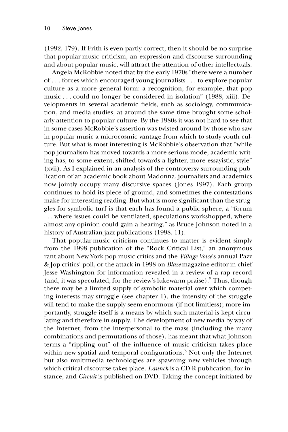(1992, 179). If Frith is even partly correct, then it should be no surprise that popular-music criticism, an expression and discourse surrounding and about popular music, will attract the attention of other intellectuals.

Angela McRobbie noted that by the early 1970s "there were a number of . . . forces which encouraged young journalists . . . to explore popular culture as a more general form: a recognition, for example, that pop music . . . could no longer be considered in isolation" (1988, xiii). Developments in several academic fields, such as sociology, communication, and media studies, at around the same time brought some scholarly attention to popular culture. By the 1980s it was not hard to see that in some cases McRobbie's assertion was twisted around by those who saw in popular music a microcosmic vantage from which to study youth culture. But what is most interesting is McRobbie's observation that "while pop journalism has moved towards a more serious mode, academic writing has, to some extent, shifted towards a lighter, more essayistic, style" (xvii). As I explained in an analysis of the controversy surrounding publication of an academic book about Madonna, journalists and academics now jointly occupy many discursive spaces (Jones 1997). Each group continues to hold its piece of ground, and sometimes the contestations make for interesting reading. But what is more significant than the struggles for symbolic turf is that each has found a public sphere, a "forum . . . where issues could be ventilated, speculations workshopped, where almost any opinion could gain a hearing," as Bruce Johnson noted in a history of Australian jazz publications (1998, 11).

That popular-music criticism continues to matter is evident simply from the 1998 publication of the "Rock Critical List," an anonymous rant about New York pop music critics and the *Village Voice*'s annual Pazz & Jop critics' poll, or the attack in 1998 on *Blaze* magazine editor-in-chief Jesse Washington for information revealed in a review of a rap record (and, it was speculated, for the review's lukewarm praise). $^2$  Thus, though there may be a limited supply of symbolic material over which competing interests may struggle (see chapter 1), the intensity of the struggle will tend to make the supply seem enormous (if not limitless); more importantly, struggle itself is a means by which such material is kept circulating and therefore in supply. The development of new media by way of the Internet, from the interpersonal to the mass (including the many combinations and permutations of those), has meant that what Johnson terms a "rippling out" of the influence of music criticism takes place within new spatial and temporal configurations.<sup>3</sup> Not only the Internet but also multimedia technologies are spawning new vehicles through which critical discourse takes place. *Launch* is a CD-R publication, for instance, and *Circuit* is published on DVD. Taking the concept initiated by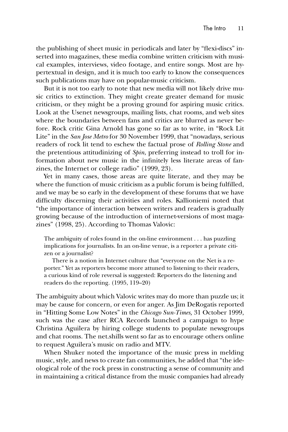the publishing of sheet music in periodicals and later by "flexi-discs" inserted into magazines, these media combine written criticism with musical examples, interviews, video footage, and entire songs. Most are hypertextual in design, and it is much too early to know the consequences such publications may have on popular-music criticism.

But it is not too early to note that new media will not likely drive music critics to extinction. They might create greater demand for music criticism, or they might be a proving ground for aspiring music critics. Look at the Usenet newsgroups, mailing lists, chat rooms, and web sites where the boundaries between fans and critics are blurred as never before. Rock critic Gina Arnold has gone so far as to write, in "Rock Lit Lite" in the *San Jose Metro* for 30 November 1999, that "nowadays, serious readers of rock lit tend to eschew the factual prose of *Rolling Stone* and the pretentious attitudinizing of *Spin*, preferring instead to troll for information about new music in the infinitely less literate areas of fanzines, the Internet or college radio" (1999, 23).

Yet in many cases, those areas are quite literate, and they may be where the function of music criticism as a public forum is being fulfilled, and we may be so early in the development of these forums that we have difficulty discerning their activities and roles. Kallioniemi noted that "the importance of interaction between writers and readers is gradually growing because of the introduction of internet-versions of most magazines" (1998, 25). According to Thomas Valovic:

The ambiguity of roles found in the on-line environment . . . has puzzling implications for journalists. In an on-line venue, is a reporter a private citizen or a journalist?

There is a notion in Internet culture that "everyone on the Net is a reporter." Yet as reporters become more attuned to listening to their readers, a curious kind of role reversal is suggested: Reporters do the listening and readers do the reporting. (1995, 119–20)

The ambiguity about which Valovic writes may do more than puzzle us; it may be cause for concern, or even for anger. As Jim DeRogatis reported in "Hitting Some Low Notes" in the *Chicago Sun-Times,* 31 October 1999, such was the case after RCA Records launched a campaign to hype Christina Aguilera by hiring college students to populate newsgroups and chat rooms. The net.shills went so far as to encourage others online to request Aguilera's music on radio and MTV.

When Shuker noted the importance of the music press in melding music, style, and news to create fan communities, he added that "the ideological role of the rock press in constructing a sense of community and in maintaining a critical distance from the music companies had already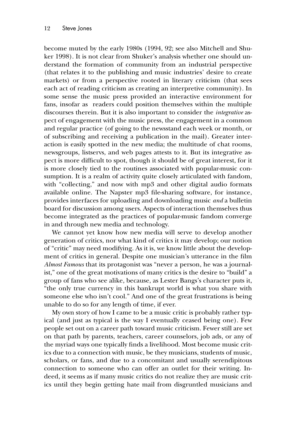become muted by the early 1980s (1994, 92; see also Mitchell and Shuker 1998). It is not clear from Shuker's analysis whether one should understand the formation of community from an industrial perspective (that relates it to the publishing and music industries' desire to create markets) or from a perspective rooted in literary criticism (that sees each act of reading criticism as creating an interpretive community). In some sense the music press provided an interactive environment for fans, insofar as readers could position themselves within the multiple discourses therein. But it is also important to consider the *integrative* aspect of engagement with the music press, the engagement in a common and regular practice (of going to the newsstand each week or month, or of subscribing and receiving a publication in the mail). Greater interaction is easily spotted in the new media; the multitude of chat rooms, newsgroups, listservs, and web pages attests to it. But its integrative aspect is more difficult to spot, though it should be of great interest, for it is more closely tied to the routines associated with popular-music consumption. It is a realm of activity quite closely articulated with fandom, with "collecting," and now with mp3 and other digital audio formats available online. The Napster mp3 file-sharing software, for instance, provides interfaces for uploading and downloading music *and* a bulletin board for discussion among users. Aspects of interaction themselves thus become integrated as the practices of popular-music fandom converge in and through new media and technology.

We cannot yet know how new media will serve to develop another generation of critics, nor what kind of critics it may develop; our notion of "critic" may need modifying. As it is, we know little about the development of critics in general. Despite one musician's utterance in the film *Almost Famous* that its protagonist was "never a person, he was a journalist," one of the great motivations of many critics is the desire to "build" a group of fans who see alike, because, as Lester Bangs's character puts it, "the only true currency in this bankrupt world is what you share with someone else who isn't cool." And one of the great frustrations is being unable to do so for any length of time, if ever.

My own story of how I came to be a music critic is probably rather typical (and just as typical is the way I eventually ceased being one). Few people set out on a career path toward music criticism. Fewer still are set on that path by parents, teachers, career counselors, job ads, or any of the myriad ways one typically finds a livelihood. Most become music critics due to a connection with music, be they musicians, students of music, scholars, or fans, and due to a concomitant and usually serendipitous connection to someone who can offer an outlet for their writing. Indeed, it seems as if many music critics do not realize they are music critics until they begin getting hate mail from disgruntled musicians and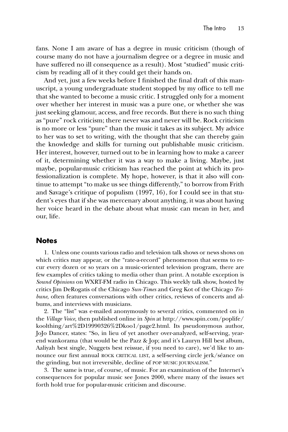fans. None I am aware of has a degree in music criticism (though of course many do not have a journalism degree or a degree in music and have suffered no ill consequence as a result). Most "studied" music criticism by reading all of it they could get their hands on.

And yet, just a few weeks before I finished the final draft of this manuscript, a young undergraduate student stopped by my office to tell me that she wanted to become a music critic. I struggled only for a moment over whether her interest in music was a pure one, or whether she was just seeking glamour, access, and free records. But there is no such thing as "pure" rock criticism; there never was and never will be. Rock criticism is no more or less "pure" than the music it takes as its subject. My advice to her was to set to writing, with the thought that she can thereby gain the knowledge and skills for turning out publishable music criticism. Her interest, however, turned out to be in learning how to make a career of it, determining whether it was a way to make a living. Maybe, just maybe, popular-music criticism has reached the point at which its professionalization is complete. My hope, however, is that it also will continue to attempt "to make us see things differently," to borrow from Frith and Savage's critique of populism (1997, 16), for I could see in that student's eyes that if she was mercenary about anything, it was about having her voice heard in the debate about what music can mean in her, and our, life.

#### **Notes**

1. Unless one counts various radio and television talk shows or news shows on which critics may appear, or the "rate-a-record" phenomenon that seems to recur every dozen or so years on a music-oriented television program, there are few examples of critics taking to media other than print. A notable exception is *Sound Opinions* on WXRT-FM radio in Chicago. This weekly talk show, hosted by critics Jim DeRogatis of the Chicago *Sun-Times* and Greg Kot of the Chicago *Tribune*, often features conversations with other critics, reviews of concerts and albums, and interviews with musicians.

2. The "list" was e-mailed anonymously to several critics, commented on in the *Village Voice,* then published online in *Spin* at http://www.spin.com/poplife/ koolthing/art%2D19990326%2Dkoo1/page2.html. Its pseudonymous author, JoJo Dancer, states: "So, in lieu of yet another over-analyzed, self-serving, yearend wankorama (that would be the Pazz & Jop; and it's Lauryn Hill best album, Aaliyah best single, Nuggets best reissue, if you need to care), we'd like to announce our first annual ROCK CRITICAL LIST, a self-serving circle jerk/séance on the grinding, but not irreversible, decline of POP MUSIC JOURNALISM."

3. The same is true, of course, of music. For an examination of the Internet's consequences for popular music see Jones 2000, where many of the issues set forth hold true for popular-music criticism and discourse.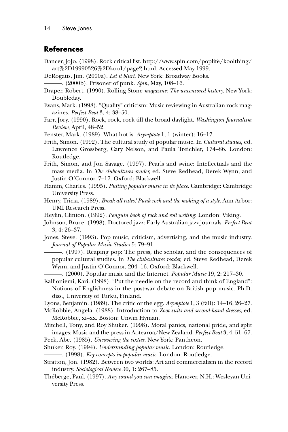### **References**

- Dancer, JoJo. (1998). Rock critical list. http://www.spin.com/poplife/koolthing/ art%2D19990326%2Dkoo1/page2.html. Accessed May 1999.
- DeRogatis, Jim. (2000a). *Let it blurt*. New York: Broadway Books.
- ———. (2000b). Prisoner of punk. *Spin*, May, 108–16.
- Draper, Robert. (1990). Rolling Stone *magazine: The uncensored history.* New York: Doubleday.
- Evans, Mark. (1998). "Quality" criticism: Music reviewing in Australian rock magazines. *Perfect Beat* 3, 4: 38–50.
- Farr, Jory. (1990). Rock, rock, rock till the broad daylight. *Washington Journalism Review*, April, 48–52.
- Fenster, Mark. (1989). What hot is. *Asymptote* 1, 1 (winter): 16–17.
- Frith, Simon. (1992). The cultural study of popular music. In *Cultural studies,* ed. Lawrence Grossberg, Cary Nelson, and Paula Treichler, 174–86. London: Routledge.
- Frith, Simon, and Jon Savage. (1997). Pearls and swine: Intellectuals and the mass media. In *The clubcultures reader,* ed. Steve Redhead, Derek Wynn, and Justin O'Connor, 7–17. Oxford: Blackwell.
- Hamm, Charles. (1995). *Putting popular music in its place*. Cambridge: Cambridge University Press.
- Henry, Tricia. (1989). *Break all rules! Punk rock and the making of a style*. Ann Arbor: UMI Research Press.
- Heylin, Clinton. (1992). *Penguin book of rock and roll writing*. London: Viking.
- Johnson, Bruce. (1998). Doctored jazz: Early Australian jazz journals. *Perfect Beat* 3, 4: 26–37.
- Jones, Steve. (1993). Pop music, criticism, advertising, and the music industry. *Journal of Popular Music Studies* 5: 79–91.
	- ———. (1997). Reaping pop: The press, the scholar, and the consequences of popular cultural studies. In *The clubcultures reader,* ed. Steve Redhead, Derek Wynn, and Justin O'Connor, 204–16. Oxford: Blackwell.
	- ———. (2000). Popular music and the Internet. *Popular Music* 19, 2: 217–30.
- Kallioniemi, Kari. (1998). "Put the needle on the record and think of England": Notions of Englishness in the post-war debate on British pop music. Ph.D. diss., University of Turku, Finland.

Lyons, Benjamin. (1989). The critic or the egg. *Asymptote* 1, 3 (fall): 14–16, 26–27.

McRobbie, Angela. (1988). Introduction to *Zoot suits and second-hand dresses*, ed. McRobbie, xi–xx. Boston: Unwin Hyman.

- Mitchell, Tony, and Roy Shuker. (1998). Moral panics, national pride, and split images: Music and the press in Aotearoa/New Zealand. *Perfect Beat* 3, 4: 51–67.
- Peck, Abe. (1985). *Uncovering the sixties.* New York: Pantheon.
- Shuker, Roy. (1994). *Understanding popular music*. London: Routledge.
- ———. (1998). *Key concepts in popular music*. London: Routledge.
- Stratton, Jon. (1982). Between two worlds: Art and commercialism in the record industry. *Sociological Review* 30, 1: 267–85.
- Théberge, Paul. (1997). *Any sound you can imagine*. Hanover, N.H.: Wesleyan University Press.